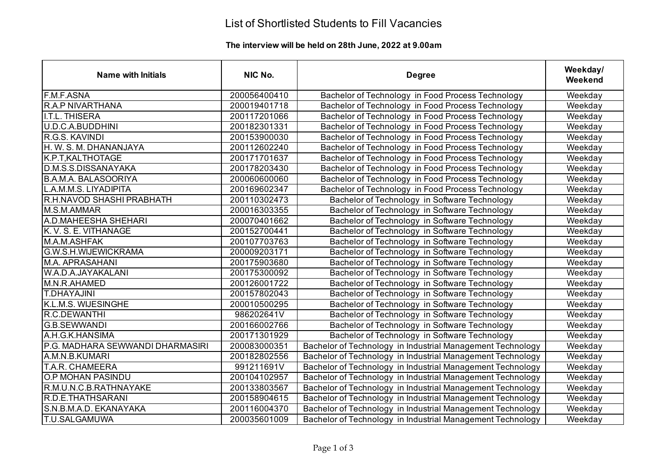## List of Shortlisted Students to Fill Vacancies

### **The interview will be held on 28th June, 2022 at 9.00am**

| <b>Name with Initials</b>        | NIC No.      | <b>Degree</b>                                              | Weekday/<br>Weekend |
|----------------------------------|--------------|------------------------------------------------------------|---------------------|
| <b>F.M.F.ASNA</b>                | 200056400410 | Bachelor of Technology in Food Process Technology          | Weekday             |
| <b>R.A.P NIVARTHANA</b>          | 200019401718 | Bachelor of Technology in Food Process Technology          | Weekday             |
| <b>I.T.L. THISERA</b>            | 200117201066 | Bachelor of Technology in Food Process Technology          | Weekday             |
| U.D.C.A.BUDDHINI                 | 200182301331 | Bachelor of Technology in Food Process Technology          | Weekday             |
| R.G.S. KAVINDI                   | 200153900030 | Bachelor of Technology in Food Process Technology          | Weekday             |
| H. W. S. M. DHANANJAYA           | 200112602240 | Bachelor of Technology in Food Process Technology          | Weekday             |
| K.P.T.KALTHOTAGE                 | 200171701637 | Bachelor of Technology in Food Process Technology          | Weekday             |
| D.M.S.S.DISSANAYAKA              | 200178203430 | Bachelor of Technology in Food Process Technology          | Weekday             |
| <b>B.A.M.A. BALASOORIYA</b>      | 200060600060 | Bachelor of Technology in Food Process Technology          | Weekday             |
| L.A.M.M.S. LIYADIPITA            | 200169602347 | Bachelor of Technology in Food Process Technology          | Weekday             |
| R.H.NAVOD SHASHI PRABHATH        | 200110302473 | Bachelor of Technology in Software Technology              | Weekday             |
| M.S.M.AMMAR                      | 200016303355 | Bachelor of Technology in Software Technology              | Weekday             |
| A.D.MAHEESHA SHEHARI             | 200070401662 | Bachelor of Technology in Software Technology              | Weekday             |
| K. V. S. E. VITHANAGE            | 200152700441 | Bachelor of Technology in Software Technology              | Weekday             |
| M.A.M.ASHFAK                     | 200107703763 | Bachelor of Technology in Software Technology              | Weekday             |
| <b>G.W.S.H.WIJEWICKRAMA</b>      | 200009203171 | Bachelor of Technology in Software Technology              | Weekday             |
| <b>M.A. APRASAHANI</b>           | 200175903680 | Bachelor of Technology in Software Technology              | Weekday             |
| W.A.D.A.JAYAKALANI               | 200175300092 | Bachelor of Technology in Software Technology              | Weekday             |
| M.N.R.AHAMED                     | 200126001722 | Bachelor of Technology in Software Technology              | Weekday             |
| <b>T.DHAYAJINI</b>               | 200157802043 | Bachelor of Technology in Software Technology              | Weekday             |
| K.L.M.S. WIJESINGHE              | 200010500295 | Bachelor of Technology in Software Technology              | Weekday             |
| <b>R.C.DEWANTHI</b>              | 986202641V   | Bachelor of Technology in Software Technology              | Weekday             |
| <b>G.B.SEWWANDI</b>              | 200166002766 | Bachelor of Technology in Software Technology              | Weekday             |
| A.H.G.K.HANSIMA                  | 200171301929 | Bachelor of Technology in Software Technology              | Weekday             |
| P.G. MADHARA SEWWANDI DHARMASIRI | 200083000351 | Bachelor of Technology in Industrial Management Technology | Weekday             |
| A.M.N.B.KUMARI                   | 200182802556 | Bachelor of Technology in Industrial Management Technology | Weekday             |
| T.A.R. CHAMEERA                  | 991211691V   | Bachelor of Technology in Industrial Management Technology | Weekday             |
| <b>O.P MOHAN PASINDU</b>         | 200104102957 | Bachelor of Technology in Industrial Management Technology | Weekday             |
| R.M.U.N.C.B.RATHNAYAKE           | 200133803567 | Bachelor of Technology in Industrial Management Technology | Weekday             |
| R.D.E.THATHSARANI                | 200158904615 | Bachelor of Technology in Industrial Management Technology | Weekday             |
| S.N.B.M.A.D. EKANAYAKA           | 200116004370 | Bachelor of Technology in Industrial Management Technology | Weekday             |
| T.U.SALGAMUWA                    | 200035601009 | Bachelor of Technology in Industrial Management Technology | Weekday             |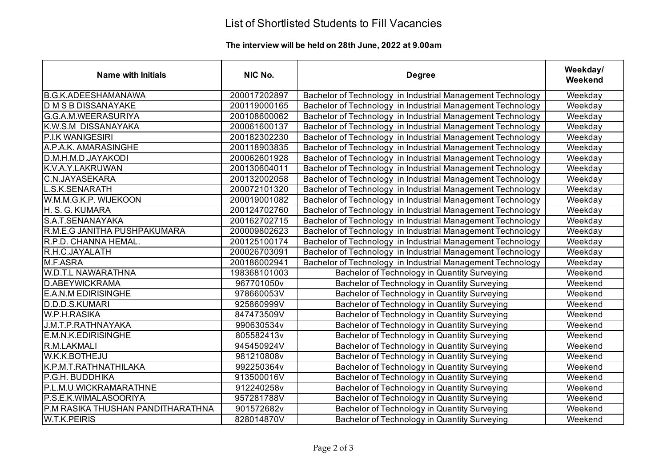## List of Shortlisted Students to Fill Vacancies

### **The interview will be held on 28th June, 2022 at 9.00am**

| <b>Name with Initials</b>         | NIC No.      | <b>Degree</b>                                              | Weekday/<br>Weekend |
|-----------------------------------|--------------|------------------------------------------------------------|---------------------|
| B.G.K.ADEESHAMANAWA               | 200017202897 | Bachelor of Technology in Industrial Management Technology | Weekday             |
| <b>D M S B DISSANAYAKE</b>        | 200119000165 | Bachelor of Technology in Industrial Management Technology | Weekday             |
| <b>G.G.A.M.WEERASURIYA</b>        | 200108600062 | Bachelor of Technology in Industrial Management Technology | Weekday             |
| K.W.S.M DISSANAYAKA               | 200061600137 | Bachelor of Technology in Industrial Management Technology | Weekday             |
| <b>P.I.K WANIGESIRI</b>           | 200182302230 | Bachelor of Technology in Industrial Management Technology | Weekday             |
| A.P.A.K. AMARASINGHE              | 200118903835 | Bachelor of Technology in Industrial Management Technology | Weekday             |
| D.M.H.M.D.JAYAKODI                | 200062601928 | Bachelor of Technology in Industrial Management Technology | Weekday             |
| K.V.A.Y.LAKRUWAN                  | 200130604011 | Bachelor of Technology in Industrial Management Technology | Weekday             |
| <b>C.N.JAYASEKARA</b>             | 200132002058 | Bachelor of Technology in Industrial Management Technology | Weekday             |
| <b>L.S.K.SENARATH</b>             | 200072101320 | Bachelor of Technology in Industrial Management Technology | Weekday             |
| W.M.M.G.K.P. WIJEKOON             | 200019001082 | Bachelor of Technology in Industrial Management Technology | Weekday             |
| H. S. G. KUMARA                   | 200124702760 | Bachelor of Technology in Industrial Management Technology | Weekday             |
| S.A.T.SENANAYAKA                  | 200162702715 | Bachelor of Technology in Industrial Management Technology | Weekday             |
| R.M.E.G JANITHA PUSHPAKUMARA      | 200009802623 | Bachelor of Technology in Industrial Management Technology | Weekday             |
| R.P.D. CHANNA HEMAL.              | 200125100174 | Bachelor of Technology in Industrial Management Technology | Weekday             |
| R.H.C.JAYALATH                    | 200026703091 | Bachelor of Technology in Industrial Management Technology | Weekday             |
| M.F.ASRA                          | 200186002941 | Bachelor of Technology in Industrial Management Technology | Weekday             |
| <b>W.D.T.L NAWARATHNA</b>         | 198368101003 | Bachelor of Technology in Quantity Surveying               | Weekend             |
| <b>D.ABEYWICKRAMA</b>             | 967701050v   | Bachelor of Technology in Quantity Surveying               | Weekend             |
| <b>E.A.N.M EDIRISINGHE</b>        | 978660053V   | Bachelor of Technology in Quantity Surveying               | Weekend             |
| D.D.D.S.KUMARI                    | 925860999V   | <b>Bachelor of Technology in Quantity Surveying</b>        | Weekend             |
| W.P.H.RASIKA                      | 847473509V   | Bachelor of Technology in Quantity Surveying               | Weekend             |
| J.M.T.P.RATHNAYAKA                | 990630534v   | Bachelor of Technology in Quantity Surveying               | Weekend             |
| E.M.N.K.EDIRISINGHE               | 805582413v   | Bachelor of Technology in Quantity Surveying               | Weekend             |
| R.M.LAKMALI                       | 945450924V   | Bachelor of Technology in Quantity Surveying               | Weekend             |
| W.K.K.BOTHEJU                     | 981210808v   | Bachelor of Technology in Quantity Surveying               | Weekend             |
| K.P.M.T.RATHNATHILAKA             | 992250364v   | Bachelor of Technology in Quantity Surveying               | Weekend             |
| P.G.H. BUDDHIKA                   | 913500016V   | Bachelor of Technology in Quantity Surveying               | Weekend             |
| P.L.M.U.WICKRAMARATHNE            | 912240258v   | Bachelor of Technology in Quantity Surveying               | Weekend             |
| P.S.E.K.WIMALASOORIYA             | 957281788V   | Bachelor of Technology in Quantity Surveying               | Weekend             |
| P.M RASIKA THUSHAN PANDITHARATHNA | 901572682v   | Bachelor of Technology in Quantity Surveying               | Weekend             |
| <b>W.T.K.PEIRIS</b>               | 828014870V   | Bachelor of Technology in Quantity Surveying               | Weekend             |